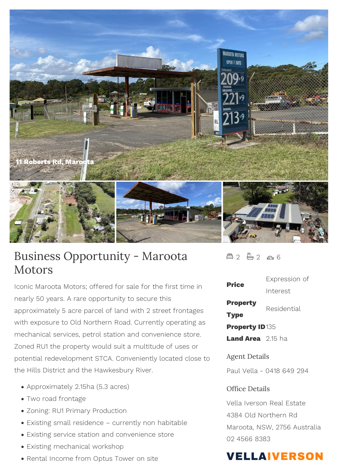

## Business Opportunity - Maroota Motors

Iconic Maroota Motors; offered for sale for the first time in nearly 50 years. A rare opportunity to secure this approximately 5 acre parcel of land with 2 street frontages with exposure to Old Northern Road. Currently operating as mechanical services, petrol station and convenience store. Zoned RU1 the property would suit a multitude of uses or potential redevelopment STCA. Conveniently located close to the Hills District and the Hawkesbury River.

- Approximately 2.15ha (5.3 acres)
- Two road frontage
- Zoning: RU1 Primary Production
- Existing small residence currently non habitable
- Existing service station and convenience store
- Existing mechanical workshop
- Rental Income from Optus Tower on site

 $42 - 2 2 6$ 

| Price                                                               | Expression of |
|---------------------------------------------------------------------|---------------|
|                                                                     | Interest      |
| Property<br><b>Type</b>                                             | Residential   |
| <b>Property ID135</b>                                               |               |
| Land Area 2.15 ha                                                   |               |
| <b>Agent Details</b><br>Paul Vella - 0418 649 294<br>Office Details |               |
|                                                                     |               |
| Vella Iverson Real Estate<br>4384 Old Northern Rd                   |               |
|                                                                     |               |

Maroota, NSW, 2756 Australia 02 4566 8383

## **VELLAIVERSON**